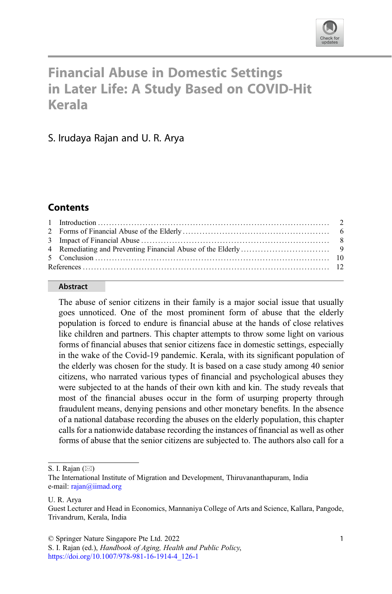

# Financial Abuse in Domestic Settings in Later Life: A Study Based on COVID-Hit Kerala

# S. Irudaya Rajan and U. R. Arya

# **Contents**

#### Abstract

The abuse of senior citizens in their family is a major social issue that usually goes unnoticed. One of the most prominent form of abuse that the elderly population is forced to endure is financial abuse at the hands of close relatives like children and partners. This chapter attempts to throw some light on various forms of financial abuses that senior citizens face in domestic settings, especially in the wake of the Covid-19 pandemic. Kerala, with its significant population of the elderly was chosen for the study. It is based on a case study among 40 senior citizens, who narrated various types of financial and psychological abuses they were subjected to at the hands of their own kith and kin. The study reveals that most of the financial abuses occur in the form of usurping property through fraudulent means, denying pensions and other monetary benefits. In the absence of a national database recording the abuses on the elderly population, this chapter calls for a nationwide database recording the instances of financial as well as other forms of abuse that the senior citizens are subjected to. The authors also call for a

S. I. Rajan  $(\boxtimes)$ 

U. R. Arya

© Springer Nature Singapore Pte Ltd. 2022

The International Institute of Migration and Development, Thiruvananthapuram, India e-mail: [rajan@iimad.org](mailto:rajan@iimad.org)

Guest Lecturer and Head in Economics, Mannaniya College of Arts and Science, Kallara, Pangode, Trivandrum, Kerala, India

S. I. Rajan (ed.), Handbook of Aging, Health and Public Policy, [https://doi.org/10.1007/978-981-16-1914-4\\_126-1](https://doi.org/10.1007/978-981-16-1914-4_126-1#DOI)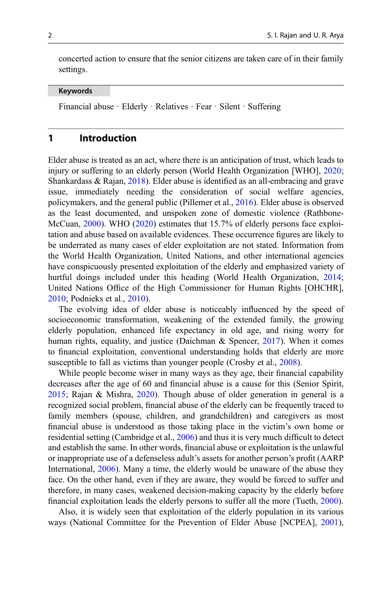concerted action to ensure that the senior citizens are taken care of in their family settings.

#### Keywords

Financial abuse · Elderly · Relatives · Fear · Silent · Suffering

### 1 Introduction

Elder abuse is treated as an act, where there is an anticipation of trust, which leads to injury or suffering to an elderly person (World Health Organization [WHO], [2020;](#page-13-0) Shankardass  $\&$  Rajan, [2018](#page-13-0)). Elder abuse is identified as an all-embracing and grave issue, immediately needing the consideration of social welfare agencies, policymakers, and the general public (Pillemer et al., [2016](#page-12-0)). Elder abuse is observed as the least documented, and unspoken zone of domestic violence (Rathbone-McCuan, [2000](#page-12-0)). WHO ([2020\)](#page-13-0) estimates that 15.7% of elderly persons face exploitation and abuse based on available evidences. These occurrence figures are likely to be underrated as many cases of elder exploitation are not stated. Information from the World Health Organization, United Nations, and other international agencies have conspicuously presented exploitation of the elderly and emphasized variety of hurtful doings included under this heading (World Health Organization, [2014;](#page-13-0) United Nations Office of the High Commissioner for Human Rights [OHCHR], [2010;](#page-13-0) Podnieks et al., [2010](#page-12-0)).

The evolving idea of elder abuse is noticeably influenced by the speed of socioeconomic transformation, weakening of the extended family, the growing elderly population, enhanced life expectancy in old age, and rising worry for human rights, equality, and justice (Daichman & Spencer, [2017](#page-11-0)). When it comes to financial exploitation, conventional understanding holds that elderly are more susceptible to fall as victims than younger people (Crosby et al., [2008](#page-11-0)).

While people become wiser in many ways as they age, their financial capability decreases after the age of 60 and financial abuse is a cause for this (Senior Spirit, [2015;](#page-13-0) Rajan & Mishra, [2020](#page-12-0)). Though abuse of older generation in general is a recognized social problem, financial abuse of the elderly can be frequently traced to family members (spouse, children, and grandchildren) and caregivers as most financial abuse is understood as those taking place in the victim's own home or residential setting (Cambridge et al., [2006](#page-11-0)) and thus it is very much difficult to detect and establish the same. In other words, financial abuse or exploitation is the unlawful or inappropriate use of a defenseless adult's assets for another person's profit (AARP International, [2006\)](#page-11-0). Many a time, the elderly would be unaware of the abuse they face. On the other hand, even if they are aware, they would be forced to suffer and therefore, in many cases, weakened decision-making capacity by the elderly before financial exploitation leads the elderly persons to suffer all the more (Tueth, [2000\)](#page-13-0).

Also, it is widely seen that exploitation of the elderly population in its various ways (National Committee for the Prevention of Elder Abuse [NCPEA], [2001\)](#page-12-0),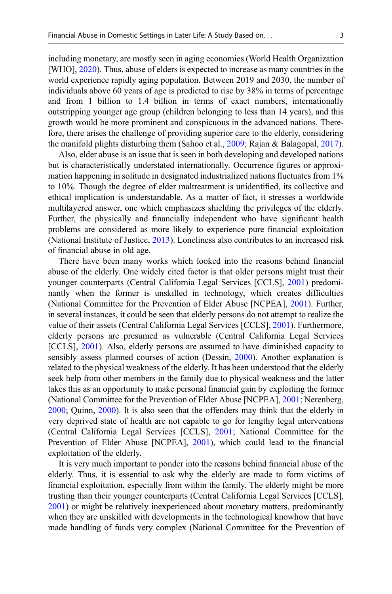including monetary, are mostly seen in aging economies (World Health Organization [WHO], [2020\)](#page-13-0). Thus, abuse of elders is expected to increase as many countries in the world experience rapidly aging population. Between 2019 and 2030, the number of individuals above 60 years of age is predicted to rise by 38% in terms of percentage and from 1 billion to 1.4 billion in terms of exact numbers, internationally outstripping younger age group (children belonging to less than 14 years), and this growth would be more prominent and conspicuous in the advanced nations. Therefore, there arises the challenge of providing superior care to the elderly, considering the manifold plights disturbing them (Sahoo et al., [2009](#page-12-0); Rajan & Balagopal, [2017\)](#page-12-0).

Also, elder abuse is an issue that is seen in both developing and developed nations but is characteristically understated internationally. Occurrence figures or approximation happening in solitude in designated industrialized nations fluctuates from 1% to 10%. Though the degree of elder maltreatment is unidentified, its collective and ethical implication is understandable. As a matter of fact, it stresses a worldwide multilayered answer, one which emphasizes shielding the privileges of the elderly. Further, the physically and financially independent who have significant health problems are considered as more likely to experience pure financial exploitation (National Institute of Justice, [2013\)](#page-12-0). Loneliness also contributes to an increased risk of financial abuse in old age.

There have been many works which looked into the reasons behind financial abuse of the elderly. One widely cited factor is that older persons might trust their younger counterparts (Central California Legal Services [CCLS], [2001](#page-11-0)) predominantly when the former is unskilled in technology, which creates difficulties (National Committee for the Prevention of Elder Abuse [NCPEA], [2001](#page-12-0)). Further, in several instances, it could be seen that elderly persons do not attempt to realize the value of their assets (Central California Legal Services [CCLS], [2001\)](#page-11-0). Furthermore, elderly persons are presumed as vulnerable (Central California Legal Services [CCLS], [2001\)](#page-11-0). Also, elderly persons are assumed to have diminished capacity to sensibly assess planned courses of action (Dessin, [2000](#page-11-0)). Another explanation is related to the physical weakness of the elderly. It has been understood that the elderly seek help from other members in the family due to physical weakness and the latter takes this as an opportunity to make personal financial gain by exploiting the former (National Committee for the Prevention of Elder Abuse [NCPEA], [2001;](#page-12-0) Nerenberg, [2000;](#page-12-0) Quinn, [2000](#page-12-0)). It is also seen that the offenders may think that the elderly in very deprived state of health are not capable to go for lengthy legal interventions (Central California Legal Services [CCLS], [2001](#page-11-0); National Committee for the Prevention of Elder Abuse [NCPEA], [2001\)](#page-12-0), which could lead to the financial exploitation of the elderly.

It is very much important to ponder into the reasons behind financial abuse of the elderly. Thus, it is essential to ask why the elderly are made to form victims of financial exploitation, especially from within the family. The elderly might be more trusting than their younger counterparts (Central California Legal Services [CCLS], [2001\)](#page-11-0) or might be relatively inexperienced about monetary matters, predominantly when they are unskilled with developments in the technological knowhow that have made handling of funds very complex (National Committee for the Prevention of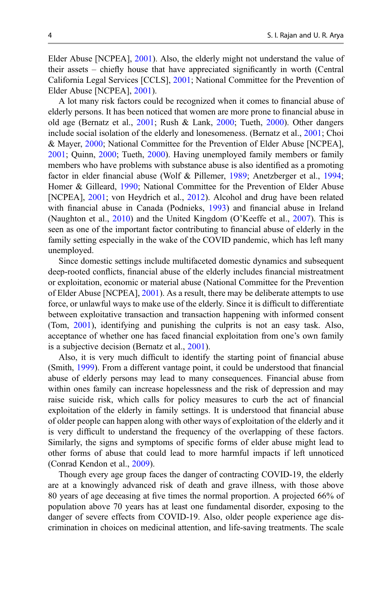Elder Abuse [NCPEA], [2001](#page-12-0)). Also, the elderly might not understand the value of their assets – chiefly house that have appreciated significantly in worth (Central California Legal Services [CCLS], [2001](#page-11-0); National Committee for the Prevention of Elder Abuse [NCPEA], [2001](#page-12-0)).

A lot many risk factors could be recognized when it comes to financial abuse of elderly persons. It has been noticed that women are more prone to financial abuse in old age (Bernatz et al., [2001](#page-11-0); Rush & Lank, [2000;](#page-12-0) Tueth, [2000\)](#page-13-0). Other dangers include social isolation of the elderly and lonesomeness. (Bernatz et al., [2001;](#page-11-0) Choi & Mayer, [2000](#page-11-0); National Committee for the Prevention of Elder Abuse [NCPEA], [2001;](#page-12-0) Quinn, [2000;](#page-12-0) Tueth, [2000](#page-13-0)). Having unemployed family members or family members who have problems with substance abuse is also identified as a promoting factor in elder financial abuse (Wolf & Pillemer, [1989](#page-13-0); Anetzberger et al., [1994;](#page-11-0) Homer & Gilleard, [1990;](#page-12-0) National Committee for the Prevention of Elder Abuse [NCPEA], [2001;](#page-12-0) von Heydrich et al., [2012](#page-13-0)). Alcohol and drug have been related with financial abuse in Canada (Podnieks, [1993\)](#page-12-0) and financial abuse in Ireland (Naughton et al., [2010](#page-12-0)) and the United Kingdom (O'Keeffe et al., [2007](#page-12-0)). This is seen as one of the important factor contributing to financial abuse of elderly in the family setting especially in the wake of the COVID pandemic, which has left many unemployed.

Since domestic settings include multifaceted domestic dynamics and subsequent deep-rooted conflicts, financial abuse of the elderly includes financial mistreatment or exploitation, economic or material abuse (National Committee for the Prevention of Elder Abuse [NCPEA], [2001\)](#page-12-0). As a result, there may be deliberate attempts to use force, or unlawful ways to make use of the elderly. Since it is difficult to differentiate between exploitative transaction and transaction happening with informed consent (Tom, [2001](#page-13-0)), identifying and punishing the culprits is not an easy task. Also, acceptance of whether one has faced financial exploitation from one's own family is a subjective decision (Bernatz et al., [2001](#page-11-0)).

Also, it is very much difficult to identify the starting point of financial abuse (Smith, [1999\)](#page-13-0). From a different vantage point, it could be understood that financial abuse of elderly persons may lead to many consequences. Financial abuse from within ones family can increase hopelessness and the risk of depression and may raise suicide risk, which calls for policy measures to curb the act of financial exploitation of the elderly in family settings. It is understood that financial abuse of older people can happen along with other ways of exploitation of the elderly and it is very difficult to understand the frequency of the overlapping of these factors. Similarly, the signs and symptoms of specific forms of elder abuse might lead to other forms of abuse that could lead to more harmful impacts if left unnoticed (Conrad Kendon et al., [2009](#page-11-0)).

Though every age group faces the danger of contracting COVID-19, the elderly are at a knowingly advanced risk of death and grave illness, with those above 80 years of age deceasing at five times the normal proportion. A projected 66% of population above 70 years has at least one fundamental disorder, exposing to the danger of severe effects from COVID-19. Also, older people experience age discrimination in choices on medicinal attention, and life-saving treatments. The scale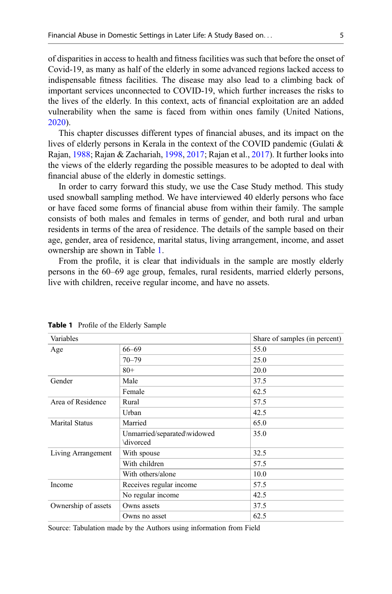of disparities in access to health and fitness facilities was such that before the onset of Covid-19, as many as half of the elderly in some advanced regions lacked access to indispensable fitness facilities. The disease may also lead to a climbing back of important services unconnected to COVID-19, which further increases the risks to the lives of the elderly. In this context, acts of financial exploitation are an added vulnerability when the same is faced from within ones family (United Nations, [2020\)](#page-13-0).

This chapter discusses different types of financial abuses, and its impact on the lives of elderly persons in Kerala in the context of the COVID pandemic (Gulati & Rajan, [1988](#page-12-0); Rajan & Zachariah, [1998,](#page-12-0) [2017](#page-12-0); Rajan et al., [2017](#page-12-0)). It further looks into the views of the elderly regarding the possible measures to be adopted to deal with financial abuse of the elderly in domestic settings.

In order to carry forward this study, we use the Case Study method. This study used snowball sampling method. We have interviewed 40 elderly persons who face or have faced some forms of financial abuse from within their family. The sample consists of both males and females in terms of gender, and both rural and urban residents in terms of the area of residence. The details of the sample based on their age, gender, area of residence, marital status, living arrangement, income, and asset ownership are shown in Table 1.

From the profile, it is clear that individuals in the sample are mostly elderly persons in the 60–69 age group, females, rural residents, married elderly persons, live with children, receive regular income, and have no assets.

| Variables             |                                         | Share of samples (in percent) |
|-----------------------|-----------------------------------------|-------------------------------|
| Age                   | 66-69                                   | 55.0                          |
|                       | $70 - 79$                               | 25.0                          |
|                       | $80+$                                   | 20.0                          |
| Gender                | Male                                    | 37.5                          |
|                       | Female                                  | 62.5                          |
| Area of Residence     | Rural                                   | 57.5                          |
|                       | Urban                                   | 42.5                          |
| <b>Marital Status</b> | Married                                 | 65.0                          |
|                       | Unmarried/separated\widowed<br>divorced | 35.0                          |
| Living Arrangement    | With spouse                             | 32.5                          |
|                       | With children                           | 57.5                          |
|                       | With others/alone                       | 10.0                          |
| Income                | Receives regular income                 | 57.5                          |
|                       | No regular income                       | 42.5                          |
| Ownership of assets   | Owns assets                             | 37.5                          |
|                       | Owns no asset                           | 62.5                          |

Table 1 Profile of the Elderly Sample

Source: Tabulation made by the Authors using information from Field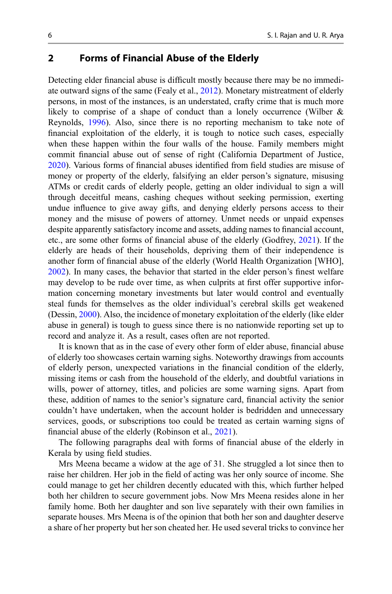# 2 Forms of Financial Abuse of the Elderly

Detecting elder financial abuse is difficult mostly because there may be no immediate outward signs of the same (Fealy et al., [2012\)](#page-11-0). Monetary mistreatment of elderly persons, in most of the instances, is an understated, crafty crime that is much more likely to comprise of a shape of conduct than a lonely occurrence (Wilber & Reynolds, [1996\)](#page-13-0). Also, since there is no reporting mechanism to take note of financial exploitation of the elderly, it is tough to notice such cases, especially when these happen within the four walls of the house. Family members might commit financial abuse out of sense of right (California Department of Justice, [2020\)](#page-11-0). Various forms of financial abuses identified from field studies are misuse of money or property of the elderly, falsifying an elder person's signature, misusing ATMs or credit cards of elderly people, getting an older individual to sign a will through deceitful means, cashing cheques without seeking permission, exerting undue influence to give away gifts, and denying elderly persons access to their money and the misuse of powers of attorney. Unmet needs or unpaid expenses despite apparently satisfactory income and assets, adding names to financial account, etc., are some other forms of financial abuse of the elderly (Godfrey, [2021\)](#page-12-0). If the elderly are heads of their households, depriving them of their independence is another form of financial abuse of the elderly (World Health Organization [WHO], [2002\)](#page-13-0). In many cases, the behavior that started in the elder person's finest welfare may develop to be rude over time, as when culprits at first offer supportive information concerning monetary investments but later would control and eventually steal funds for themselves as the older individual's cerebral skills get weakened (Dessin, [2000\)](#page-11-0). Also, the incidence of monetary exploitation of the elderly (like elder abuse in general) is tough to guess since there is no nationwide reporting set up to record and analyze it. As a result, cases often are not reported.

It is known that as in the case of every other form of elder abuse, financial abuse of elderly too showcases certain warning sighs. Noteworthy drawings from accounts of elderly person, unexpected variations in the financial condition of the elderly, missing items or cash from the household of the elderly, and doubtful variations in wills, power of attorney, titles, and policies are some warning signs. Apart from these, addition of names to the senior's signature card, financial activity the senior couldn't have undertaken, when the account holder is bedridden and unnecessary services, goods, or subscriptions too could be treated as certain warning signs of financial abuse of the elderly (Robinson et al., [2021\)](#page-12-0).

The following paragraphs deal with forms of financial abuse of the elderly in Kerala by using field studies.

Mrs Meena became a widow at the age of 31. She struggled a lot since then to raise her children. Her job in the field of acting was her only source of income. She could manage to get her children decently educated with this, which further helped both her children to secure government jobs. Now Mrs Meena resides alone in her family home. Both her daughter and son live separately with their own families in separate houses. Mrs Meena is of the opinion that both her son and daughter deserve a share of her property but her son cheated her. He used several tricks to convince her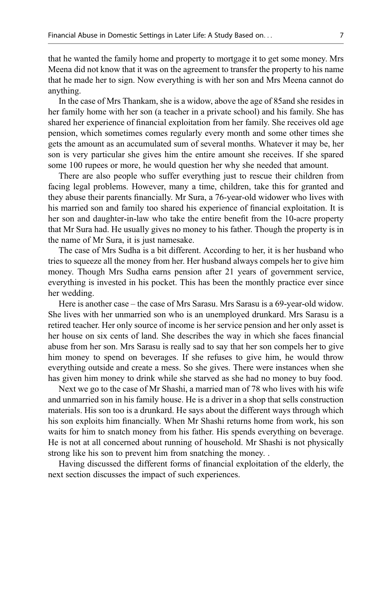that he wanted the family home and property to mortgage it to get some money. Mrs Meena did not know that it was on the agreement to transfer the property to his name that he made her to sign. Now everything is with her son and Mrs Meena cannot do anything.

In the case of Mrs Thankam, she is a widow, above the age of 85and she resides in her family home with her son (a teacher in a private school) and his family. She has shared her experience of financial exploitation from her family. She receives old age pension, which sometimes comes regularly every month and some other times she gets the amount as an accumulated sum of several months. Whatever it may be, her son is very particular she gives him the entire amount she receives. If she spared some 100 rupees or more, he would question her why she needed that amount.

There are also people who suffer everything just to rescue their children from facing legal problems. However, many a time, children, take this for granted and they abuse their parents financially. Mr Sura, a 76-year-old widower who lives with his married son and family too shared his experience of financial exploitation. It is her son and daughter-in-law who take the entire benefit from the 10-acre property that Mr Sura had. He usually gives no money to his father. Though the property is in the name of Mr Sura, it is just namesake.

The case of Mrs Sudha is a bit different. According to her, it is her husband who tries to squeeze all the money from her. Her husband always compels her to give him money. Though Mrs Sudha earns pension after 21 years of government service, everything is invested in his pocket. This has been the monthly practice ever since her wedding.

Here is another case – the case of Mrs Sarasu. Mrs Sarasu is a 69-year-old widow. She lives with her unmarried son who is an unemployed drunkard. Mrs Sarasu is a retired teacher. Her only source of income is her service pension and her only asset is her house on six cents of land. She describes the way in which she faces financial abuse from her son. Mrs Sarasu is really sad to say that her son compels her to give him money to spend on beverages. If she refuses to give him, he would throw everything outside and create a mess. So she gives. There were instances when she has given him money to drink while she starved as she had no money to buy food.

Next we go to the case of Mr Shashi, a married man of 78 who lives with his wife and unmarried son in his family house. He is a driver in a shop that sells construction materials. His son too is a drunkard. He says about the different ways through which his son exploits him financially. When Mr Shashi returns home from work, his son waits for him to snatch money from his father. His spends everything on beverage. He is not at all concerned about running of household. Mr Shashi is not physically strong like his son to prevent him from snatching the money. .

Having discussed the different forms of financial exploitation of the elderly, the next section discusses the impact of such experiences.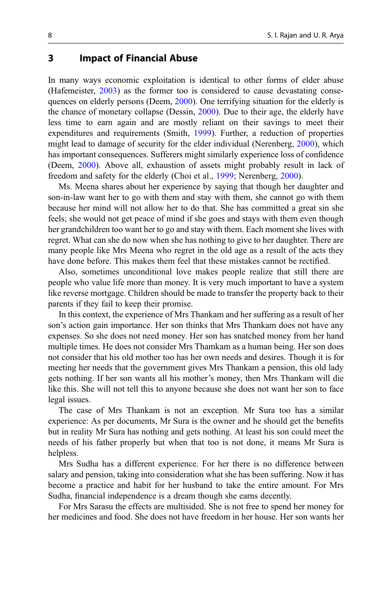## 3 Impact of Financial Abuse

In many ways economic exploitation is identical to other forms of elder abuse (Hafemeister, [2003](#page-12-0)) as the former too is considered to cause devastating consequences on elderly persons (Deem, [2000\)](#page-11-0). One terrifying situation for the elderly is the chance of monetary collapse (Dessin, [2000](#page-11-0)). Due to their age, the elderly have less time to earn again and are mostly reliant on their savings to meet their expenditures and requirements (Smith, [1999](#page-13-0)). Further, a reduction of properties might lead to damage of security for the elder individual (Nerenberg, [2000\)](#page-12-0), which has important consequences. Sufferers might similarly experience loss of confidence (Deem, [2000](#page-11-0)). Above all, exhaustion of assets might probably result in lack of freedom and safety for the elderly (Choi et al., [1999](#page-11-0); Nerenberg, [2000](#page-12-0)).

Ms. Meena shares about her experience by saying that though her daughter and son-in-law want her to go with them and stay with them, she cannot go with them because her mind will not allow her to do that. She has committed a great sin she feels; she would not get peace of mind if she goes and stays with them even though her grandchildren too want her to go and stay with them. Each moment she lives with regret. What can she do now when she has nothing to give to her daughter. There are many people like Mrs Meena who regret in the old age as a result of the acts they have done before. This makes them feel that these mistakes cannot be rectified.

Also, sometimes unconditional love makes people realize that still there are people who value life more than money. It is very much important to have a system like reverse mortgage. Children should be made to transfer the property back to their parents if they fail to keep their promise.

In this context, the experience of Mrs Thankam and her suffering as a result of her son's action gain importance. Her son thinks that Mrs Thankam does not have any expenses. So she does not need money. Her son has snatched money from her hand multiple times. He does not consider Mrs Thamkam as a human being. Her son does not consider that his old mother too has her own needs and desires. Though it is for meeting her needs that the government gives Mrs Thankam a pension, this old lady gets nothing. If her son wants all his mother's money, then Mrs Thankam will die like this. She will not tell this to anyone because she does not want her son to face legal issues.

The case of Mrs Thankam is not an exception. Mr Sura too has a similar experience: As per documents, Mr Sura is the owner and he should get the benefits but in reality Mr Sura has nothing and gets nothing. At least his son could meet the needs of his father properly but when that too is not done, it means Mr Sura is helpless.

Mrs Sudha has a different experience. For her there is no difference between salary and pension, taking into consideration what she has been suffering. Now it has become a practice and habit for her husband to take the entire amount. For Mrs Sudha, financial independence is a dream though she earns decently.

For Mrs Sarasu the effects are multisided. She is not free to spend her money for her medicines and food. She does not have freedom in her house. Her son wants her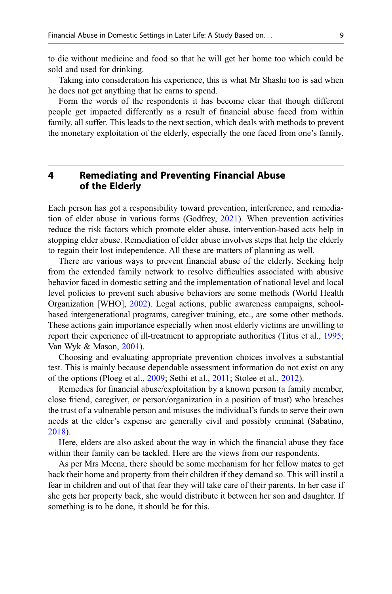to die without medicine and food so that he will get her home too which could be sold and used for drinking.

Taking into consideration his experience, this is what Mr Shashi too is sad when he does not get anything that he earns to spend.

Form the words of the respondents it has become clear that though different people get impacted differently as a result of financial abuse faced from within family, all suffer. This leads to the next section, which deals with methods to prevent the monetary exploitation of the elderly, especially the one faced from one's family.

# 4 Remediating and Preventing Financial Abuse of the Elderly

Each person has got a responsibility toward prevention, interference, and remediation of elder abuse in various forms (Godfrey, [2021](#page-12-0)). When prevention activities reduce the risk factors which promote elder abuse, intervention-based acts help in stopping elder abuse. Remediation of elder abuse involves steps that help the elderly to regain their lost independence. All these are matters of planning as well.

There are various ways to prevent financial abuse of the elderly. Seeking help from the extended family network to resolve difficulties associated with abusive behavior faced in domestic setting and the implementation of national level and local level policies to prevent such abusive behaviors are some methods (World Health Organization [WHO], [2002](#page-13-0)). Legal actions, public awareness campaigns, schoolbased intergenerational programs, caregiver training, etc., are some other methods. These actions gain importance especially when most elderly victims are unwilling to report their experience of ill-treatment to appropriate authorities (Titus et al., [1995;](#page-13-0) Van Wyk & Mason, [2001\)](#page-13-0).

Choosing and evaluating appropriate prevention choices involves a substantial test. This is mainly because dependable assessment information do not exist on any of the options (Ploeg et al., [2009;](#page-12-0) Sethi et al., [2011;](#page-13-0) Stolee et al., [2012\)](#page-13-0).

Remedies for financial abuse/exploitation by a known person (a family member, close friend, caregiver, or person/organization in a position of trust) who breaches the trust of a vulnerable person and misuses the individual's funds to serve their own needs at the elder's expense are generally civil and possibly criminal (Sabatino, [2018\)](#page-12-0).

Here, elders are also asked about the way in which the financial abuse they face within their family can be tackled. Here are the views from our respondents.

As per Mrs Meena, there should be some mechanism for her fellow mates to get back their home and property from their children if they demand so. This will instil a fear in children and out of that fear they will take care of their parents. In her case if she gets her property back, she would distribute it between her son and daughter. If something is to be done, it should be for this.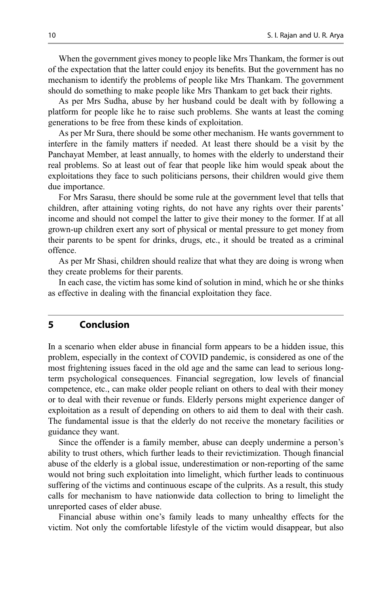When the government gives money to people like Mrs Thankam, the former is out of the expectation that the latter could enjoy its benefits. But the government has no mechanism to identify the problems of people like Mrs Thankam. The government should do something to make people like Mrs Thankam to get back their rights.

As per Mrs Sudha, abuse by her husband could be dealt with by following a platform for people like he to raise such problems. She wants at least the coming generations to be free from these kinds of exploitation.

As per Mr Sura, there should be some other mechanism. He wants government to interfere in the family matters if needed. At least there should be a visit by the Panchayat Member, at least annually, to homes with the elderly to understand their real problems. So at least out of fear that people like him would speak about the exploitations they face to such politicians persons, their children would give them due importance.

For Mrs Sarasu, there should be some rule at the government level that tells that children, after attaining voting rights, do not have any rights over their parents' income and should not compel the latter to give their money to the former. If at all grown-up children exert any sort of physical or mental pressure to get money from their parents to be spent for drinks, drugs, etc., it should be treated as a criminal offence.

As per Mr Shasi, children should realize that what they are doing is wrong when they create problems for their parents.

In each case, the victim has some kind of solution in mind, which he or she thinks as effective in dealing with the financial exploitation they face.

### 5 Conclusion

In a scenario when elder abuse in financial form appears to be a hidden issue, this problem, especially in the context of COVID pandemic, is considered as one of the most frightening issues faced in the old age and the same can lead to serious longterm psychological consequences. Financial segregation, low levels of financial competence, etc., can make older people reliant on others to deal with their money or to deal with their revenue or funds. Elderly persons might experience danger of exploitation as a result of depending on others to aid them to deal with their cash. The fundamental issue is that the elderly do not receive the monetary facilities or guidance they want.

Since the offender is a family member, abuse can deeply undermine a person's ability to trust others, which further leads to their revictimization. Though financial abuse of the elderly is a global issue, underestimation or non-reporting of the same would not bring such exploitation into limelight, which further leads to continuous suffering of the victims and continuous escape of the culprits. As a result, this study calls for mechanism to have nationwide data collection to bring to limelight the unreported cases of elder abuse.

Financial abuse within one's family leads to many unhealthy effects for the victim. Not only the comfortable lifestyle of the victim would disappear, but also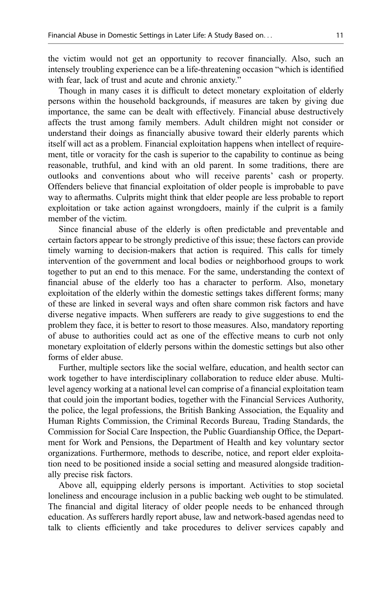the victim would not get an opportunity to recover financially. Also, such an intensely troubling experience can be a life-threatening occasion "which is identified with fear, lack of trust and acute and chronic anxiety."

Though in many cases it is difficult to detect monetary exploitation of elderly persons within the household backgrounds, if measures are taken by giving due importance, the same can be dealt with effectively. Financial abuse destructively affects the trust among family members. Adult children might not consider or understand their doings as financially abusive toward their elderly parents which itself will act as a problem. Financial exploitation happens when intellect of requirement, title or voracity for the cash is superior to the capability to continue as being reasonable, truthful, and kind with an old parent. In some traditions, there are outlooks and conventions about who will receive parents' cash or property. Offenders believe that financial exploitation of older people is improbable to pave way to aftermaths. Culprits might think that elder people are less probable to report exploitation or take action against wrongdoers, mainly if the culprit is a family member of the victim.

Since financial abuse of the elderly is often predictable and preventable and certain factors appear to be strongly predictive of this issue; these factors can provide timely warning to decision-makers that action is required. This calls for timely intervention of the government and local bodies or neighborhood groups to work together to put an end to this menace. For the same, understanding the context of financial abuse of the elderly too has a character to perform. Also, monetary exploitation of the elderly within the domestic settings takes different forms; many of these are linked in several ways and often share common risk factors and have diverse negative impacts. When sufferers are ready to give suggestions to end the problem they face, it is better to resort to those measures. Also, mandatory reporting of abuse to authorities could act as one of the effective means to curb not only monetary exploitation of elderly persons within the domestic settings but also other forms of elder abuse.

Further, multiple sectors like the social welfare, education, and health sector can work together to have interdisciplinary collaboration to reduce elder abuse. Multilevel agency working at a national level can comprise of a financial exploitation team that could join the important bodies, together with the Financial Services Authority, the police, the legal professions, the British Banking Association, the Equality and Human Rights Commission, the Criminal Records Bureau, Trading Standards, the Commission for Social Care Inspection, the Public Guardianship Office, the Department for Work and Pensions, the Department of Health and key voluntary sector organizations. Furthermore, methods to describe, notice, and report elder exploitation need to be positioned inside a social setting and measured alongside traditionally precise risk factors.

Above all, equipping elderly persons is important. Activities to stop societal loneliness and encourage inclusion in a public backing web ought to be stimulated. The financial and digital literacy of older people needs to be enhanced through education. As sufferers hardly report abuse, law and network-based agendas need to talk to clients efficiently and take procedures to deliver services capably and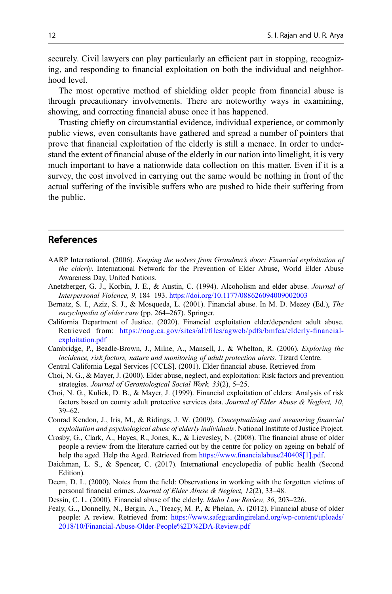<span id="page-11-0"></span>securely. Civil lawyers can play particularly an efficient part in stopping, recognizing, and responding to financial exploitation on both the individual and neighborhood level.

The most operative method of shielding older people from financial abuse is through precautionary involvements. There are noteworthy ways in examining, showing, and correcting financial abuse once it has happened.

Trusting chiefly on circumstantial evidence, individual experience, or commonly public views, even consultants have gathered and spread a number of pointers that prove that financial exploitation of the elderly is still a menace. In order to understand the extent of financial abuse of the elderly in our nation into limelight, it is very much important to have a nationwide data collection on this matter. Even if it is a survey, the cost involved in carrying out the same would be nothing in front of the actual suffering of the invisible suffers who are pushed to hide their suffering from the public.

#### References

- AARP International. (2006). Keeping the wolves from Grandma's door: Financial exploitation of the elderly. International Network for the Prevention of Elder Abuse, World Elder Abuse Awareness Day, United Nations.
- Anetzberger, G. J., Korbin, J. E., & Austin, C. (1994). Alcoholism and elder abuse. Journal of Interpersonal Violence, 9, 184–193. <https://doi.org/10.1177/088626094009002003>
- Bernatz, S. I., Aziz, S. J., & Mosqueda, L. (2001). Financial abuse. In M. D. Mezey (Ed.), The encyclopedia of elder care (pp. 264–267). Springer.
- California Department of Justice. (2020). Financial exploitation elder/dependent adult abuse. Retrieved from: https://oag.ca.gov/sites/all/fi[les/agweb/pdfs/bmfea/elderly-](https://oag.ca.gov/sites/all/files/agweb/pdfs/bmfea/elderly-financial-exploitation.pdf)financial[exploitation.pdf](https://oag.ca.gov/sites/all/files/agweb/pdfs/bmfea/elderly-financial-exploitation.pdf)
- Cambridge, P., Beadle-Brown, J., Milne, A., Mansell, J., & Whelton, R. (2006). Exploring the incidence, risk factors, nature and monitoring of adult protection alerts. Tizard Centre.
- Central California Legal Services [CCLS]. (2001). Elder financial abuse. Retrieved from
- Choi, N. G., & Mayer, J. (2000). Elder abuse, neglect, and exploitation: Risk factors and prevention strategies. Journal of Gerontological Social Work, 33(2), 5–25.
- Choi, N. G., Kulick, D. B., & Mayer, J. (1999). Financial exploitation of elders: Analysis of risk factors based on county adult protective services data. Journal of Elder Abuse & Neglect, 10, 39–62.
- Conrad Kendon, J., Iris, M., & Ridings, J. W. (2009). Conceptualizing and measuring financial exploitation and psychological abuse of elderly individuals. National Institute of Justice Project.
- Crosby, G., Clark, A., Hayes, R., Jones, K., & Lievesley, N. (2008). The financial abuse of older people a review from the literature carried out by the centre for policy on ageing on behalf of help the aged. Help the Aged. Retrieved from https://www.fi[nancialabuse240408\[1\].pdf.](https://www.financialabuse240408[1].pdf)
- Daichman, L. S., & Spencer, C. (2017). International encyclopedia of public health (Second Edition).
- Deem, D. L. (2000). Notes from the field: Observations in working with the forgotten victims of personal financial crimes. Journal of Elder Abuse & Neglect, 12(2), 33–48.
- Dessin, C. L. (2000). Financial abuse of the elderly. Idaho Law Review, 36, 203-226.
- Fealy, G.., Donnelly, N., Bergin, A., Treacy, M. P., & Phelan, A. (2012). Financial abuse of older people: A review. Retrieved from: [https://www.safeguardingireland.org/wp-content/uploads/](https://www.safeguardingireland.org/wp-content/uploads/2018/10/Financial-Abuse-Older-People%2D%2DA-Review.pdf) [2018/10/Financial-Abuse-Older-People%2D%2DA-Review.pdf](https://www.safeguardingireland.org/wp-content/uploads/2018/10/Financial-Abuse-Older-People%2D%2DA-Review.pdf)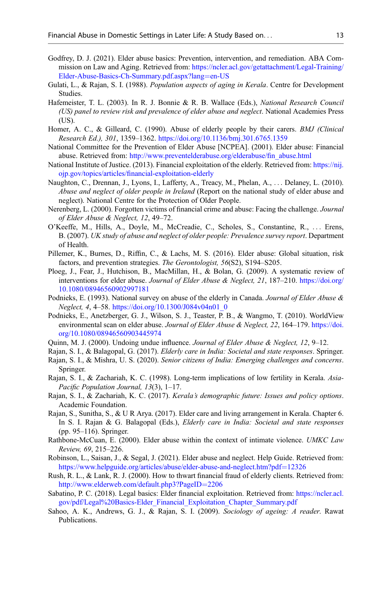- <span id="page-12-0"></span>Godfrey, D. J. (2021). Elder abuse basics: Prevention, intervention, and remediation. ABA Commission on Law and Aging. Retrieved from: [https://ncler.acl.gov/getattachment/Legal-Training/](https://ncler.acl.gov/getattachment/Legal-Training/Elder-Abuse-Basics-Ch-Summary.pdf.aspx?lang=en-US) [Elder-Abuse-Basics-Ch-Summary.pdf.aspx?lang](https://ncler.acl.gov/getattachment/Legal-Training/Elder-Abuse-Basics-Ch-Summary.pdf.aspx?lang=en-US)=[en-US](https://ncler.acl.gov/getattachment/Legal-Training/Elder-Abuse-Basics-Ch-Summary.pdf.aspx?lang=en-US)
- Gulati, L., & Rajan, S. I. (1988). Population aspects of aging in Kerala. Centre for Development Studies.
- Hafemeister, T. L. (2003). In R. J. Bonnie & R. B. Wallace (Eds.), National Research Council (US) panel to review risk and prevalence of elder abuse and neglect. National Academies Press (US).
- Homer, A. C., & Gilleard, C. (1990). Abuse of elderly people by their carers. BMJ (Clinical Research Ed.), 301, 1359–1362. <https://doi.org/10.1136/bmj.301.6765.1359>
- National Committee for the Prevention of Elder Abuse [NCPEA]. (2001). Elder abuse: Financial abuse. Retrieved from: [http://www.preventelderabuse.org/elderabuse/](http://www.preventelderabuse.org/elderabuse/fin_abuse.html)fin\_abuse.html
- National Institute of Justice. (2013). Financial exploitation of the elderly. Retrieved from: [https://nij.](https://nij.ojp.gov/topics/articles/financial-exploitation-elderly) ojp.gov/topics/articles/fi[nancial-exploitation-elderly](https://nij.ojp.gov/topics/articles/financial-exploitation-elderly)
- Naughton, C., Drennan, J., Lyons, I., Lafferty, A., Treacy, M., Phelan, A., ... Delaney, L. (2010). Abuse and neglect of older people in Ireland (Report on the national study of elder abuse and neglect). National Centre for the Protection of Older People.
- Nerenberg, L. (2000). Forgotten victims of financial crime and abuse: Facing the challenge. Journal of Elder Abuse & Neglect, 12, 49–72.
- O'Keeffe, M., Hills, A., Doyle, M., McCreadie, C., Scholes, S., Constantine, R., ... Erens, B. (2007). UK study of abuse and neglect of older people: Prevalence survey report. Department of Health.
- Pillemer, K., Burnes, D., Riffin, C., & Lachs, M. S. (2016). Elder abuse: Global situation, risk factors, and prevention strategies. The Gerontologist, 56(S2), S194–S205.
- Ploeg, J., Fear, J., Hutchison, B., MacMillan, H., & Bolan, G. (2009). A systematic review of interventions for elder abuse. Journal of Elder Abuse & Neglect, 21, 187-210. [https://doi.org/](https://doi.org/10.1080/08946560902997181) [10.1080/08946560902997181](https://doi.org/10.1080/08946560902997181)
- Podnieks, E. (1993). National survey on abuse of the elderly in Canada. Journal of Elder Abuse & Neglect, 4, 4–58. [https://doi.org/10.1300/J084v04n01\\_0](https://doi.org/10.1300/J084v04n01_0)
- Podnieks, E., Anetzberger, G. J., Wilson, S. J., Teaster, P. B., & Wangmo, T. (2010). WorldView environmental scan on elder abuse. Journal of Elder Abuse & Neglect, 22, 164–179. [https://doi.](https://doi.org/10.1080/08946560903445974) [org/10.1080/08946560903445974](https://doi.org/10.1080/08946560903445974)
- Quinn, M. J. (2000). Undoing undue influence. Journal of Elder Abuse & Neglect, 12, 9–12.
- Rajan, S. I., & Balagopal, G. (2017). Elderly care in India: Societal and state responses. Springer.
- Rajan, S. I., & Mishra, U. S. (2020). Senior citizens of India: Emerging challenges and concerns. Springer.
- Rajan, S. I., & Zachariah, K. C. (1998). Long-term implications of low fertility in Kerala. Asia-Pacific Population Journal, 13(3), 1-17.
- Rajan, S. I., & Zachariah, K. C. (2017). Kerala's demographic future: Issues and policy options. Academic Foundation.
- Rajan, S., Sunitha, S., & U R Arya. (2017). Elder care and living arrangement in Kerala. Chapter 6. In S. I. Rajan & G. Balagopal (Eds.), *Elderly care in India: Societal and state responses* (pp. 95–116). Springer.
- Rathbone-McCuan, E. (2000). Elder abuse within the context of intimate violence. UMKC Law Review, 69, 215–226.
- Robinson, L., Saisan, J., & Segal, J. (2021). Elder abuse and neglect. Help Guide. Retrieved from: [https://www.helpguide.org/articles/abuse/elder-abuse-and-neglect.htm?pdf](https://www.helpguide.org/articles/abuse/elder-abuse-and-neglect.htm?pdf=12326)=[12326](https://www.helpguide.org/articles/abuse/elder-abuse-and-neglect.htm?pdf=12326)
- Rush, R. L., & Lank, R. J. (2000). How to thwart financial fraud of elderly clients. Retrieved from: [http://www.elderweb.com/default.php3?PageID](http://www.elderweb.com/default.php3?PageID=2206)=[2206](http://www.elderweb.com/default.php3?PageID=2206)
- Sabatino, P. C. (2018). Legal basics: Elder financial exploitation. Retrieved from: [https://ncler.acl.](https://ncler.acl.gov/pdf/Legal%20Basics-Elder_Financial_Exploitation_Chapter_Summary.pdf) [gov/pdf/Legal%20Basics-Elder\\_Financial\\_Exploitation\\_Chapter\\_Summary.pdf](https://ncler.acl.gov/pdf/Legal%20Basics-Elder_Financial_Exploitation_Chapter_Summary.pdf)
- Sahoo, A. K., Andrews, G. J., & Rajan, S. I. (2009). Sociology of ageing: A reader. Rawat Publications.